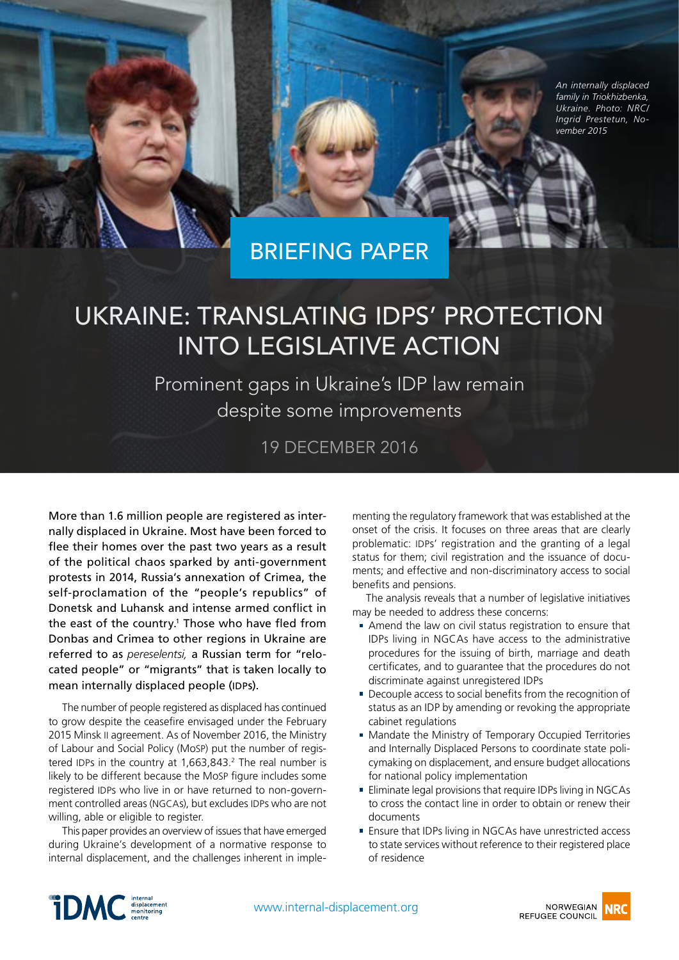*An internally displaced family in Triokhizbenka, Ukraine. Photo: NRC/ Ingrid Prestetun, November 2015*

BRIEFING PAPER

# Ukraine: Translating IDPs' protection into legislative action

Prominent gaps in Ukraine's IDP law remain despite some improvements

19 DECEMBER 2016

More than 1.6 million people are registered as internally displaced in Ukraine. Most have been forced to flee their homes over the past two years as a result of the political chaos sparked by anti-government protests in 2014, Russia's annexation of Crimea, the self-proclamation of the "people's republics" of Donetsk and Luhansk and intense armed conflict in the east of the country.<sup>1</sup> Those who have fled from Donbas and Crimea to other regions in Ukraine are referred to as *pereselentsi,* a Russian term for "relocated people" or "migrants" that is taken locally to mean internally displaced people (IDPs).

The number of people registered as displaced has continued to grow despite the ceasefire envisaged under the February 2015 Minsk II agreement. As of November 2016, the Ministry of Labour and Social Policy (MoSP) put the number of registered IDPs in the country at  $1,663,843.^2$  $1,663,843.^2$  The real number is likely to be different because the MoSP figure includes some registered IDPs who live in or have returned to non-government controlled areas (NGCAs), but excludes IDPs who are not willing, able or eligible to register.

This paper provides an overview of issues that have emerged during Ukraine's development of a normative response to internal displacement, and the challenges inherent in imple-

menting the regulatory framework that was established at the onset of the crisis. It focuses on three areas that are clearly problematic: IDPs' registration and the granting of a legal status for them; civil registration and the issuance of documents; and effective and non-discriminatory access to social benefits and pensions.

The analysis reveals that a number of legislative initiatives may be needed to address these concerns:

- Amend the law on civil status registration to ensure that IDPs living in NGCAs have access to the administrative procedures for the issuing of birth, marriage and death certificates, and to guarantee that the procedures do not discriminate against unregistered IDPs
- Decouple access to social benefits from the recognition of status as an IDP by amending or revoking the appropriate cabinet regulations
- **Mandate the Ministry of Temporary Occupied Territories** and Internally Displaced Persons to coordinate state policymaking on displacement, and ensure budget allocations for national policy implementation
- **Eliminate legal provisions that require IDPs living in NGCAs** to cross the contact line in order to obtain or renew their documents
- Ensure that IDPs living in NGCAs have unrestricted access to state services without reference to their registered place of residence

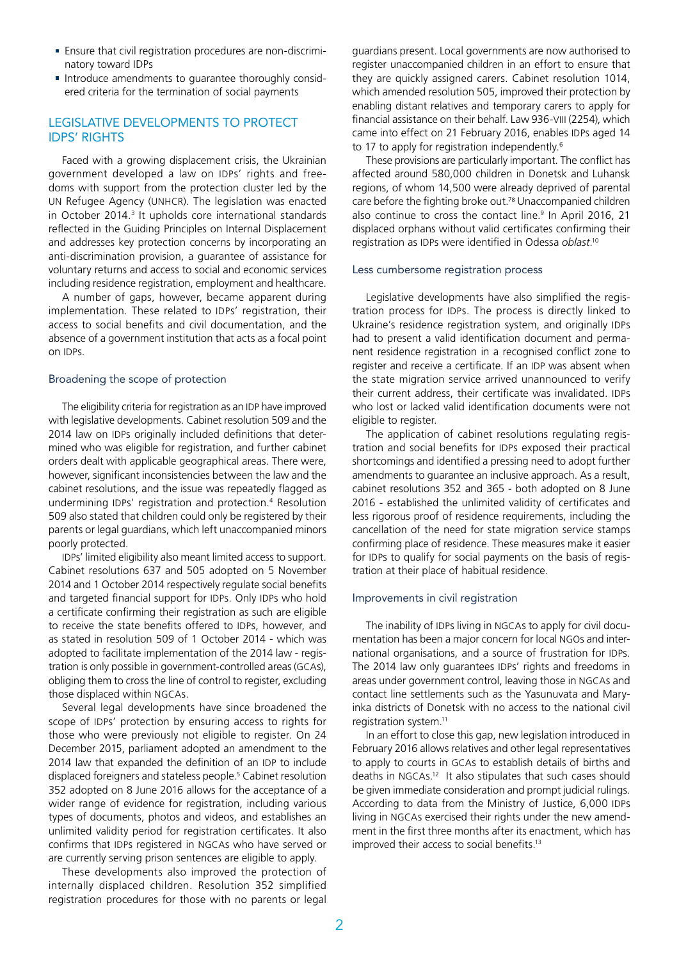- Ensure that civil registration procedures are non-discriminatory toward IDPs
- **Introduce amendments to guarantee thoroughly consid**ered criteria for the termination of social payments

## Legislative developments to protect **IDPS' RIGHTS**

Faced with a growing displacement crisis, the Ukrainian government developed a law on IDPs' rights and freedoms with support from the protection cluster led by the UN Refugee Agency (UNHCR). The legislation was enacted in October 2014.<sup>[3](#page-5-2)</sup> It upholds core international standards reflected in the Guiding Principles on Internal Displacement and addresses key protection concerns by incorporating an anti-discrimination provision, a guarantee of assistance for voluntary returns and access to social and economic services including residence registration, employment and healthcare.

A number of gaps, however, became apparent during implementation. These related to IDPs' registration, their access to social benefits and civil documentation, and the absence of a government institution that acts as a focal point on IDPs.

## Broadening the scope of protection

The eligibility criteria for registration as an IDP have improved with legislative developments. Cabinet resolution 509 and the 2014 law on IDPs originally included definitions that determined who was eligible for registration, and further cabinet orders dealt with applicable geographical areas. There were, however, significant inconsistencies between the law and the cabinet resolutions, and the issue was repeatedly flagged as undermining IDPs' registration and protection[.4](#page-5-3) Resolution 509 also stated that children could only be registered by their parents or legal guardians, which left unaccompanied minors poorly protected.

IDPs' limited eligibility also meant limited access to support. Cabinet resolutions 637 and 505 adopted on 5 November 2014 and 1 October 2014 respectively regulate social benefits and targeted financial support for IDPs. Only IDPs who hold a certificate confirming their registration as such are eligible to receive the state benefits offered to IDPs, however, and as stated in resolution 509 of 1 October 2014 - which was adopted to facilitate implementation of the 2014 law - registration is only possible in government-controlled areas (GCAs), obliging them to cross the line of control to register, excluding those displaced within NGCAs.

Several legal developments have since broadened the scope of IDPs' protection by ensuring access to rights for those who were previously not eligible to register. On 24 December 2015, parliament adopted an amendment to the 2014 law that expanded the definition of an IDP to include displaced foreigners and stateless people.<sup>[5](#page-5-4)</sup> Cabinet resolution 352 adopted on 8 June 2016 allows for the acceptance of a wider range of evidence for registration, including various types of documents, photos and videos, and establishes an unlimited validity period for registration certificates. It also confirms that IDPs registered in NGCAs who have served or are currently serving prison sentences are eligible to apply.

These developments also improved the protection of internally displaced children. Resolution 352 simplified registration procedures for those with no parents or legal

guardians present. Local governments are now authorised to register unaccompanied children in an effort to ensure that they are quickly assigned carers. Cabinet resolution 1014, which amended resolution 505, improved their protection by enabling distant relatives and temporary carers to apply for financial assistance on their behalf. Law 936-VIII (2254), which came into effect on 21 February 2016, enables IDPs aged 14 to 17 to apply for registration independently.<sup>[6](#page-5-5)</sup>

These provisions are particularly important. The conflict has affected around 580,000 children in Donetsk and Luhansk regions, of whom 14,500 were already deprived of parental care before the fighting broke out[.7](#page-5-6)[8](#page-5-7) Unaccompanied children also continue to cross the contact line.<sup>9</sup> In April 2016, 21 displaced orphans without valid certificates confirming their registration as IDPs were identified in Odessa *oblast*. [10](#page-5-9)

#### Less cumbersome registration process

Legislative developments have also simplified the registration process for IDPs. The process is directly linked to Ukraine's residence registration system, and originally IDPs had to present a valid identification document and permanent residence registration in a recognised conflict zone to register and receive a certificate. If an IDP was absent when the state migration service arrived unannounced to verify their current address, their certificate was invalidated. IDPs who lost or lacked valid identification documents were not eligible to register.

The application of cabinet resolutions regulating registration and social benefits for IDPs exposed their practical shortcomings and identified a pressing need to adopt further amendments to guarantee an inclusive approach. As a result, cabinet resolutions 352 and 365 - both adopted on 8 June 2016 - established the unlimited validity of certificates and less rigorous proof of residence requirements, including the cancellation of the need for state migration service stamps confirming place of residence. These measures make it easier for IDPs to qualify for social payments on the basis of registration at their place of habitual residence.

#### Improvements in civil registration

The inability of IDPs living in NGCAs to apply for civil documentation has been a major concern for local NGOs and international organisations, and a source of frustration for IDPs. The 2014 law only guarantees IDPs' rights and freedoms in areas under government control, leaving those in NGCAs and contact line settlements such as the Yasunuvata and Maryinka districts of Donetsk with no access to the national civil registration system.<sup>11</sup>

In an effort to close this gap, new legislation introduced in February 2016 allows relatives and other legal representatives to apply to courts in GCAs to establish details of births and deaths in NGCAs[.12](#page-5-11) It also stipulates that such cases should be given immediate consideration and prompt judicial rulings. According to data from the Ministry of Justice, 6,000 IDPs living in NGCAs exercised their rights under the new amendment in the first three months after its enactment, which has improved their access to social benefits.<sup>13</sup>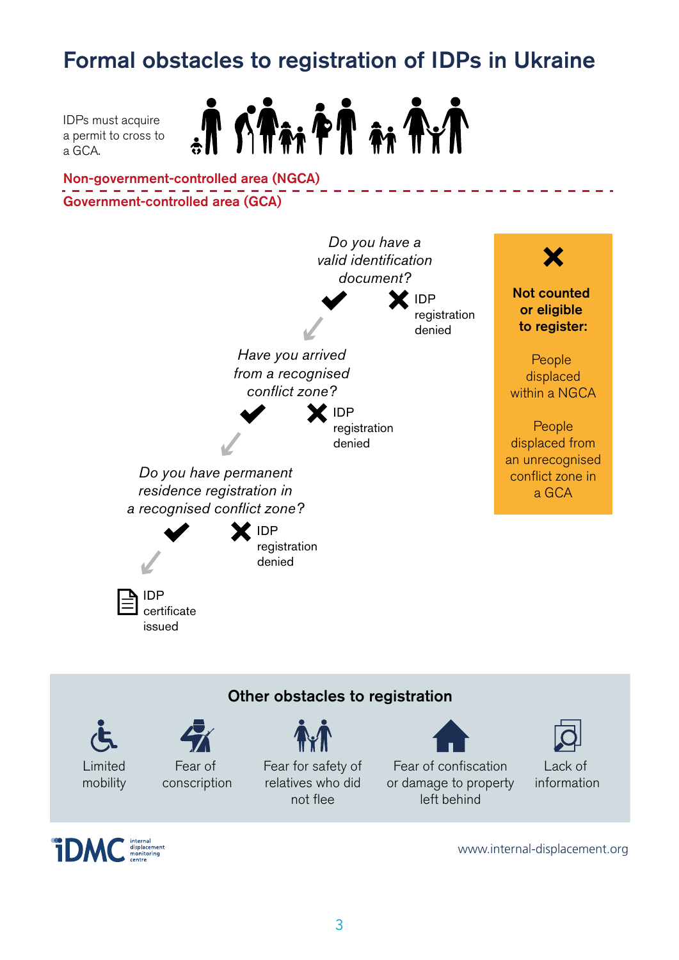## Formal obstacles to registration of IDPs in Ukraine

IDPs must acquire a permit to cross to a GCA.



Government-controlled area (GCA) Non-government-controlled area (NGCA)









www.internal-displacement.org

Lack of information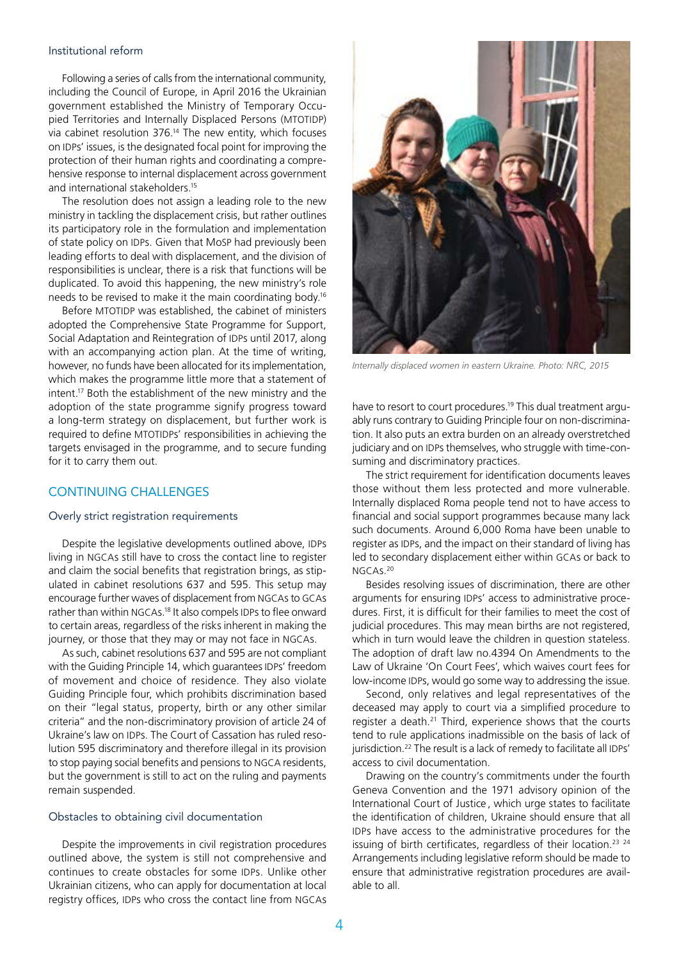#### Institutional reform

Following a series of calls from the international community, including the Council of Europe, in April 2016 the Ukrainian government established the Ministry of Temporary Occupied Territories and Internally Displaced Persons (MTOTIDP) via cabinet resolution 376. [14](#page-5-13) The new entity, which focuses on IDPs' issues, is the designated focal point for improving the protection of their human rights and coordinating a comprehensive response to internal displacement across government and international stakeholders[.15](#page-5-14)

The resolution does not assign a leading role to the new ministry in tackling the displacement crisis, but rather outlines its participatory role in the formulation and implementation of state policy on IDPs. Given that MoSP had previously been leading efforts to deal with displacement, and the division of responsibilities is unclear, there is a risk that functions will be duplicated. To avoid this happening, the new ministry's role needs to be revised to make it the main coordinating body[.16](#page-5-15)

Before MTOTIDP was established, the cabinet of ministers adopted the Comprehensive State Programme for Support, Social Adaptation and Reintegration of IDPs until 2017, along with an accompanying action plan. At the time of writing, however, no funds have been allocated for its implementation, which makes the programme little more that a statement of intent[.17](#page-5-16) Both the establishment of the new ministry and the adoption of the state programme signify progress toward a long-term strategy on displacement, but further work is required to define MTOTIDPs' responsibilities in achieving the targets envisaged in the programme, and to secure funding for it to carry them out.

## CONTINUING CHALLENGES

## Overly strict registration requirements

Despite the legislative developments outlined above, IDPs living in NGCAs still have to cross the contact line to register and claim the social benefits that registration brings, as stipulated in cabinet resolutions 637 and 595. This setup may encourage further waves of displacement from NGCAs to GCAs rather than within NGCAs[.18](#page-5-17) It also compels IDPs to flee onward to certain areas, regardless of the risks inherent in making the journey, or those that they may or may not face in NGCAs.

As such, cabinet resolutions 637 and 595 are not compliant with the Guiding Principle 14, which guarantees IDPs' freedom of movement and choice of residence. They also violate Guiding Principle four, which prohibits discrimination based on their "legal status, property, birth or any other similar criteria" and the non-discriminatory provision of article 24 of Ukraine's law on IDPs. The Court of Cassation has ruled resolution 595 discriminatory and therefore illegal in its provision to stop paying social benefits and pensions to NGCA residents, but the government is still to act on the ruling and payments remain suspended.

## Obstacles to obtaining civil documentation

Despite the improvements in civil registration procedures outlined above, the system is still not comprehensive and continues to create obstacles for some IDPs. Unlike other Ukrainian citizens, who can apply for documentation at local registry offices, IDPs who cross the contact line from NGCAs



*Internally displaced women in eastern Ukraine. Photo: NRC, 2015*

have to resort to court procedures.<sup>19</sup> This dual treatment arguably runs contrary to Guiding Principle four on non-discrimination. It also puts an extra burden on an already overstretched judiciary and on IDPs themselves, who struggle with time-consuming and discriminatory practices.

The strict requirement for identification documents leaves those without them less protected and more vulnerable. Internally displaced Roma people tend not to have access to financial and social support programmes because many lack such documents. Around 6,000 Roma have been unable to register as IDPs, and the impact on their standard of living has led to secondary displacement either within GCAs or back to NGCAs[.20](#page-5-19)

Besides resolving issues of discrimination, there are other arguments for ensuring IDPs' access to administrative procedures. First, it is difficult for their families to meet the cost of judicial procedures. This may mean births are not registered, which in turn would leave the children in question stateless. The adoption of draft law no.4394 On Amendments to the Law of Ukraine 'On Court Fees', which waives court fees for low-income IDPs, would go some way to addressing the issue.

Second, only relatives and legal representatives of the deceased may apply to court via a simplified procedure to register a death.<sup>21</sup> Third, experience shows that the courts tend to rule applications inadmissible on the basis of lack of jurisdiction.<sup>[22](#page-5-21)</sup> The result is a lack of remedy to facilitate all IDPs' access to civil documentation.

Drawing on the country's commitments under the fourth Geneva Convention and the 1971 advisory opinion of the International Court of Justice , which urge states to facilitate the identification of children, Ukraine should ensure that all IDPs have access to the administrative procedures for the issuing of birth certificates, regardless of their location.<sup>[23](#page-5-22) [24](#page-5-23)</sup> Arrangements including legislative reform should be made to ensure that administrative registration procedures are available to all.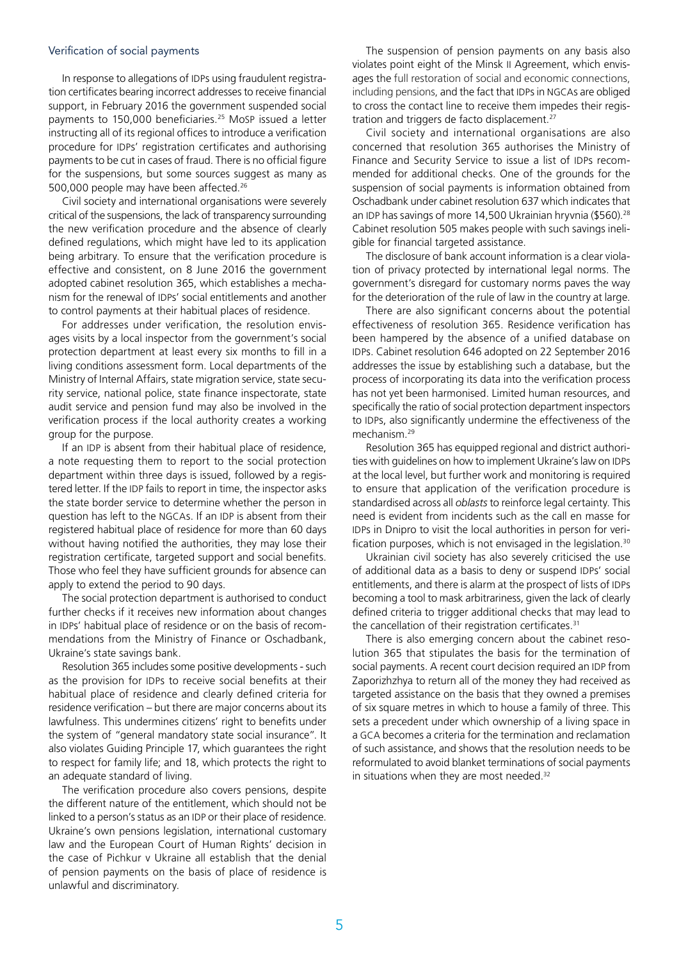#### Verification of social payments

In response to allegations of IDPs using fraudulent registration certificates bearing incorrect addresses to receive financial support, in February 2016 the government suspended social payments to 150,000 beneficiaries.[25](#page-5-24) MoSP issued a letter instructing all of its regional offices to introduce a verification procedure for IDPs' registration certificates and authorising payments to be cut in cases of fraud. There is no official figure for the suspensions, but some sources suggest as many as 500,000 people may have been affected.[26](#page-5-25)

Civil society and international organisations were severely critical of the suspensions, the lack of transparency surrounding the new verification procedure and the absence of clearly defined regulations, which might have led to its application being arbitrary. To ensure that the verification procedure is effective and consistent, on 8 June 2016 the government adopted cabinet resolution 365, which establishes a mechanism for the renewal of IDPs' social entitlements and another to control payments at their habitual places of residence.

For addresses under verification, the resolution envisages visits by a local inspector from the government's social protection department at least every six months to fill in a living conditions assessment form. Local departments of the Ministry of Internal Affairs, state migration service, state security service, national police, state finance inspectorate, state audit service and pension fund may also be involved in the verification process if the local authority creates a working group for the purpose.

If an IDP is absent from their habitual place of residence, a note requesting them to report to the social protection department within three days is issued, followed by a registered letter. If the IDP fails to report in time, the inspector asks the state border service to determine whether the person in question has left to the NGCAs. If an IDP is absent from their registered habitual place of residence for more than 60 days without having notified the authorities, they may lose their registration certificate, targeted support and social benefits. Those who feel they have sufficient grounds for absence can apply to extend the period to 90 days.

The social protection department is authorised to conduct further checks if it receives new information about changes in IDPs' habitual place of residence or on the basis of recommendations from the Ministry of Finance or Oschadbank, Ukraine's state savings bank.

Resolution 365 includes some positive developments - such as the provision for IDPs to receive social benefits at their habitual place of residence and clearly defined criteria for residence verification – but there are major concerns about its lawfulness. This undermines citizens' right to benefits under the system of "general mandatory state social insurance". It also violates Guiding Principle 17, which guarantees the right to respect for family life; and 18, which protects the right to an adequate standard of living.

The verification procedure also covers pensions, despite the different nature of the entitlement, which should not be linked to a person's status as an IDP or their place of residence. Ukraine's own pensions legislation, international customary law and the European Court of Human Rights' decision in the case of Pichkur v Ukraine all establish that the denial of pension payments on the basis of place of residence is unlawful and discriminatory.

The suspension of pension payments on any basis also violates point eight of the Minsk II Agreement, which envisages the full restoration of social and economic connections, including pensions, and the fact that IDPs in NGCAs are obliged to cross the contact line to receive them impedes their regis-tration and triggers de facto displacement.<sup>[27](#page-5-26)</sup>

Civil society and international organisations are also concerned that resolution 365 authorises the Ministry of Finance and Security Service to issue a list of IDPs recommended for additional checks. One of the grounds for the suspension of social payments is information obtained from Oschadbank under cabinet resolution 637 which indicates that an IDP has savings of more 14,500 Ukrainian hryvnia (\$560).<sup>[28](#page-5-27)</sup> Cabinet resolution 505 makes people with such savings ineligible for financial targeted assistance.

The disclosure of bank account information is a clear violation of privacy protected by international legal norms. The government's disregard for customary norms paves the way for the deterioration of the rule of law in the country at large.

There are also significant concerns about the potential effectiveness of resolution 365. Residence verification has been hampered by the absence of a unified database on IDPs. Cabinet resolution 646 adopted on 22 September 2016 addresses the issue by establishing such a database, but the process of incorporating its data into the verification process has not yet been harmonised. Limited human resources, and specifically the ratio of social protection department inspectors to IDPs, also significantly undermine the effectiveness of the mechanism.[29](#page-5-28)

Resolution 365 has equipped regional and district authorities with guidelines on how to implement Ukraine's law on IDPs at the local level, but further work and monitoring is required to ensure that application of the verification procedure is standardised across all *oblasts* to reinforce legal certainty. This need is evident from incidents such as the call en masse for IDPs in Dnipro to visit the local authorities in person for verification purposes, which is not envisaged in the legislation.<sup>30</sup>

Ukrainian civil society has also severely criticised the use of additional data as a basis to deny or suspend IDPs' social entitlements, and there is alarm at the prospect of lists of IDPs becoming a tool to mask arbitrariness, given the lack of clearly defined criteria to trigger additional checks that may lead to the cancellation of their registration certificates.<sup>31</sup>

There is also emerging concern about the cabinet resolution 365 that stipulates the basis for the termination of social payments. A recent court decision required an IDP from Zaporizhzhya to return all of the money they had received as targeted assistance on the basis that they owned a premises of six square metres in which to house a family of three. This sets a precedent under which ownership of a living space in a GCA becomes a criteria for the termination and reclamation of such assistance, and shows that the resolution needs to be reformulated to avoid blanket terminations of social payments in situations when they are most needed.<sup>[32](#page-5-31)</sup>